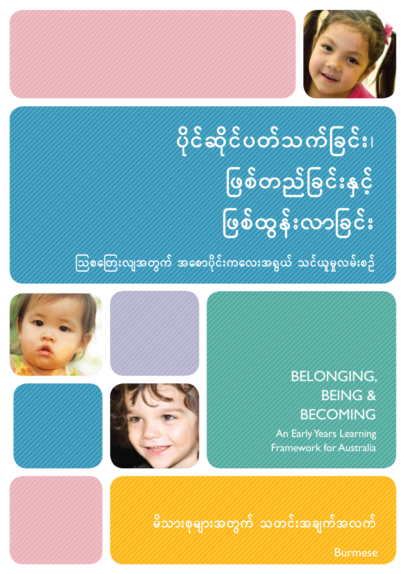

**yder yn Sillie Trychis NzpfwnfNcif;ESifh USOS:00062;** ကြွ*စ်ခြေးလျအတွက်/အစောပိုင်းကလေးအရွယ်/သင်ယူမူလမ်း*စဉ်





#### BELONGING, BEING & BECOMING

An Early Years Learning Framework for Australia

.<br>မိသားစုများအတွက် သတင်းအချက်အလက်

Burmese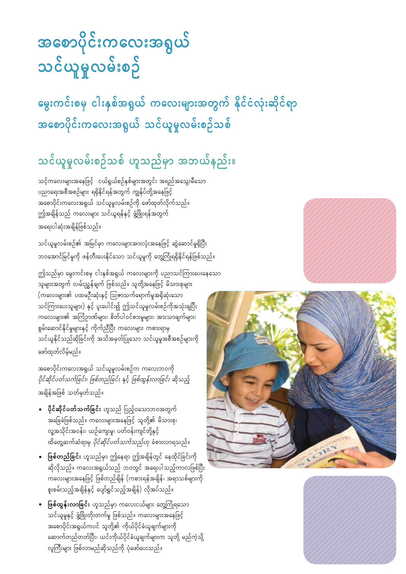# <u>အစောပိုင်းကလေးအရွယ်</u> သင်ယူမှုလမ်းစ**ဉ်**

မွေးကင်းစမှ ငါးနှစ်အရွယ် ကလေးများအတွက် နိုင်ငံလုံးဆိုင်ရာ အစောပိုင်းကလေးအရွယ် သင်ယူမှုလမ်းစဉ်သစ်

#### သင်ယူမှုလမ်းစဉ်သစ် ဟူသည်မှာ အဘယ်နည်း။

သင့်ကလေးများအနေဖြင့် ငယ်ရှယ်စဉ်နှစ်များအတွင်း အရည်အသွေးမီသော ပညာရေးအစီအစဉ်များ ရရှိနိုင်ရန်အတွက် ကျွန်ုပ်တို့အနေဖြင့် အစောပိုင်းကလေးအရွယ် သင်ယူမူလမ်းစဉ်ကို ဖော်ထုတ်လိုက်သည်။ ဤအချိန်သည် ကလေးများ သင်ယူရန်နှင့် ဖွံ့ဖြိုးရန်အတွက် အရေးပါဆုံးအချိန်ဖြစ်သည်။

သင်ယူမှုလမ်းစဉ်၏ အမြင်မှာ ကလေးများအားလုံးအနေဖြင့် ဆွဲဆောင်မှုရှိပြီး ဘဝအောင်မြင်မှုကို ဖန်တီးပေးနိုင်သော သင်ယူမှုကို တွေ့ကြုံရရှိနိုင်ရန်ဖြစ်သည်။

ဤသည်မှာ မွေးကင်းစမှ ငါးနှစ်အရှယ် ကလေးများကို ပညာသင်ကြားပေးနေသော သူများအတွက် လမ်းညွှန်ချက် ဖြစ်သည်။ သူတို့အနေဖြင့် မိသားစုများ  $($ ကလေးများ၏ ပထမဦးဆုံးနှင့် ဩဇာသက်ရောက်မှုအရှိဆုံးသော သင်ကြားပေးသူများ) နှင့် ပူးပေါင်း၍ ဤသင်ယူမှုလမ်းစဉ်ကိုအသုံးချပြီး ကလေးများ၏ အကြံဉာဏ်များ၊ စိတ်ပါဝင်စားမှုများ၊ အားသာချက်များ၊ စွမ်းဆောင်နိုင်မှုများနှင့် ကိုက်ညီပြီး ကလေးများ ကစားရာမှ သင်ယူနိုင်သည်ဆိုခြင်းကို အသိအမှတ်ပြုသော သင်ယူမှုအစီအစဉ်များကို ဖော်ထုတ်လိမ့်မည်။

အစောပိုင်းကလေးအရှယ် သင်ယူမူလမ်းစဉ်က ကလေးဘဝကို ပိုင်ဆိုင်ပတ်သက်ခြင်း၊ ဖြစ်တည်ခြင်း နှင့် ဖြစ်ထွန်းလာခြင်း ဆိုသည့် အချိန်အဖြစ် သတ်မှတ်သည်။

- **ပိုင်ဆိုင်ပတ်သက်ခြင်း** ဟူသည် ပြည့်ဝသောဘဝအတွက် အခြေခံဖြစ်သည်။ ကလေးများအနေဖြင့် သူတို့၏ မိသားစု၊ လူ့အသိုင်းအဝန်း၊ ယဉ်ကျေးမှု၊ ပတ်ဝန်းကျင်တို့နှင့် ထိတွေ့ဆက်ဆံရာမှ *ပိုင်ဆိုင်ပတ်သက်သည်ဟု* ခံစားလာရသည်။
- ဖြစ်တည်ခြင်း ဟူသည်မှာ ဤနေရာ ဤအချိန်တွင် နေထိုင်ခြင်းကို ဆိုလိုသည်။ ကလေးအရွယ်သည် ဘဝတွင် အရေးပါသည့်ကာလဖြစ်ပြီး ကလေးများအနေဖြင့် ဖြစ်တည်ချိန် (ကစားရန်အချိန်၊ အရာသစ်များကို စူးစမ်းသည့်အချိန်နှင့် ပျော်ရွှင်သည့်အချိန်) လိုအပ်သည်။
- **ဖြစ်ထွန်းလာခြင်း** ဟူသည်မှာ ကလေးငယ်များ တွေကြုံရသော သင်ယူမှုနှင့် ဖွံ့ဖြိုးတိုးတက်မှု ဖြစ်သည်။ ကလေးများအနေဖြင့် အစောပိုင်းအရွယ်ကပင် သူတို့၏ ကိုယ်ပိုင်ခံယူချက်များကို ဆောက်တည်တတ်ပြီး၊ ယင်းကိုယ်ပိုင်ခံယူချက်များက သူတို့ မည်ကဲ့သို့ လူကြီးများ ဖြစ်လာမည်ဆိုသည်ကို ပုံဖော်ပေးသည်။





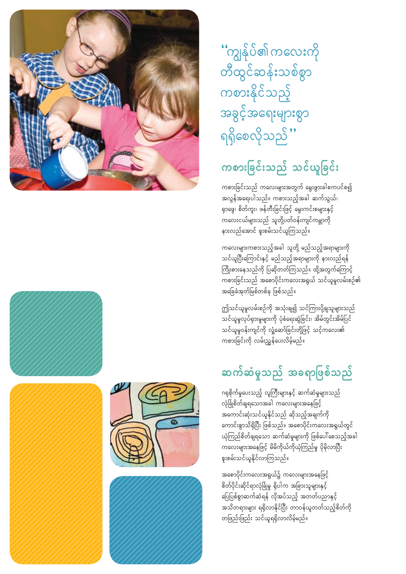''ကျွန်ုပ်၏ ကလေးကို တီထွင်ဆန်းသစ်စွာ ကစားနိုင်သည့် အခွင့်အရေးများစွာ ရရှိစေလိုသည် ''

## ကစားခြင်းသည် သင်ယူခြင်း

ကစားခြင်းသည် ကလေးများအတွက် မွေးဖွားခါစကပင်စ၍ အလွန်အရေးပါသည်။ ကစားသည့်အခါ ဆက်သွယ်၊ ရှာဖွေ၊ စိတ်ကူး၊ ဖန်တီးခြင်းဖြင့် မွေးကင်းစများနှင့် ကလေးငယ်များသည် သူတို့ပတ်ဝန်းကျင်ကမ္ဘာကို နားလည်အောင် စူးစမ်းသင်ယူကြသည်။

ကလေးများကစားသည့်အခါ သူတို့ မည်သည့်အရာများကို သင်ယူပြီးကြောင်းနှင့် မည်သည့်အရာများကို နားလည်ရန် ကြိုးစားနေသည်ကို ပြဆိုတတ်ကြသည်။ ထို့အတွက်ကြောင့် ကစားခြင်းသည် အစောပိုင်းကလေးအရွယ် သင်ယူမှုလမ်းစဉ်၏ အခြေခံအုတ်မြစ်တစ်ခု ဖြစ်သည်။

ဤသင်ယူမူလမ်းစဉ်ကို အသုံးချ၍ သင်ကြားပို့ချသူများသည် သင်ယူမှုလုပ်ရှားမှုများကို ပုံစံရေးဆွဲခြင်း၊ အိမ်တွင်းအိမ်ပြင် -<br>သင်ယူမှုဝန်းကျင်ကို လှုံ့ဆော်ခြင်းတို့ဖြင့် သင့်ကလေး၏ ကစားခြင်းကို လမ်းညွှန်ပေးလိမ့်မည်။

### ဆက်ဆံမှုသည် အခရာဖြစ်သည်

ဂရုစိုက်မှုပေးသည့် လူကြီးများနှင့် ဆက်ဆံမှုများသည် လုံခြုံစိတ်ချရသောအခါ ကလေးများအနေဖြင့် အကောင်းဆုံးသင်ယူနိုင်သည် ဆိုသည့်အချက်ကို ကောင်းစွာသိရှိပြီး ဖြစ်သည်။ အစောပိုင်းကလေးအရွယ်တွင် ယုံကြည်စိတ်ချရသော ဆက်ဆံမှုများကို ဖြစ်ပေါ်စေသည့်အခါ ကလေးများအနေဖြင့် မိမိကိုယ်ကိုယုံကြည်မှု ပိုမိုလာပြီး …<br>စူးစမ်းသင်ယူနိုင်လာကြသည်။

အစောပိုင်းကလေးအရွယ်၌ ကလေးများအနေဖြင့် စိတ်ပိုင်းဆိုင်ရာလုံခြုံမှု ရှိပါက အခြားသူများနှင့် <u>ပြေပြစ်စွာဆက်ဆံရန် လိုအပ်သည့် အတတ်ပညာနှင့်</u> အသိတရားများ ရရှိလာနိုင်ပြီး တာဝန်ယူတတ်သည့်စိတ်ကို တဖြည်းဖြည်း သင်ယူရရှိလာလိမ့်မည်။







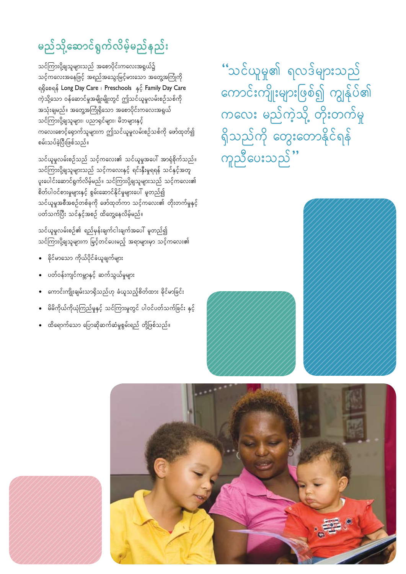## မည်သို့ဆောင်ရွက်လိမ့်မည်နည်း

သင်ကြားပို့ချသူများသည် အစောပိုင်းကလေးအရွယ်၌ သင့်ကလေးအနေဖြင့် အရည်အသွေးမြင့်မားသော အတွေ့အကြုံကို ရရှိစေရန် Long Day Care | Preschools နှင့် Family Day Care ကဲ့သို့သော ဝန်ဆောင်မှုအမျိုးမျိုးတွင် ဤသင်ယူမှုလမ်းစဉ်သစ်ကို အသုံးချမည်။ အတွေ့အကြုံရှိသော အစောပိုင်းကလေးအရှယ် သင်ကြားပို့ချသူများ၊ ပညာရှင်များ၊ မိဘများနှင့် ကလေးစောင့်ရောက်သူများက ဤသင်ယူမူလမ်းစဉ်သစ်ကို ဖော်ထုတ်၍ စမ်းသပ်ခဲ့ပြီးဖြစ်သည်။

သင်ယူမှုလမ်းစဉ်သည် သင့်ကလေး၏ သင်ယူမှုအပေါ် အာရုံစိုက်သည်။ သင်ကြားပို့ချသူများသည် သင့်ကလေးနှင့် ရင်းနှီးမှုရရန် သင်နှင့်အတူ ပူးပေါင်းဆောင်ရွက်လိမ့်မည်။ သင်ကြားပို့ချသူများသည် သင့်ကလေး၏ စိတ်ပါဝင်စားမှုများနှင့် စွမ်းဆောင်နိုင်မှုများပေါ် မူတည်၍ သင်ယူမှုအစီအစဉ်တစ်ခုကို ဖော်ထုတ်ကာ သင့်ကလေး၏ တိုးတက်မှုနှင့် ပတ်သက်ပြီး သင်နှင့်အစဉ် ထိတွေ့နေလိမ့်မည်။

သင်ယူမှုလမ်းစဉ်၏ ရည်မှန်းချက်ငါးချက်အပေါ် မူတည်၍ သင်ကြားပို့ချသူများက မြှင့်တင်ပေးမည့် အရာများမှာ သင့်ကလေး၏

- $\bullet$  ခိုင်မာသော ကိုယ်ပိုင်ခံယူချက်များ
- ပတ်ဝန်းကျင်ကမ္ဘာနှင့် ဆက်သွယ်မှုများ
- ကောင်းကျိုးချမ်းသာရှိသည်ဟု ခံယူသည့်စိတ်ထား ခိုင်မာခြင်း
- မိမိကိုယ်ကိုယုံကြည်မှုနှင့် သင်ကြားမှုတွင် ပါဝင်ပတ်သက်ခြင်း နှင့်
- ထိရောက်သော ပြောဆိုဆက်ဆံမှုစွမ်းရည် တို့ဖြစ်သည်။

ိသင်ယူမှု၏ ရလဒ်များသည် ကောင်းကျိုးများဖြစ်၍ ကျွန်ုပ်၏ ကလေး မည်ကဲ့သို့ တိုးတက်မှု ရှိသည်ကို တွေးတောနိုင်ရန် ကူညီပေးသည်"





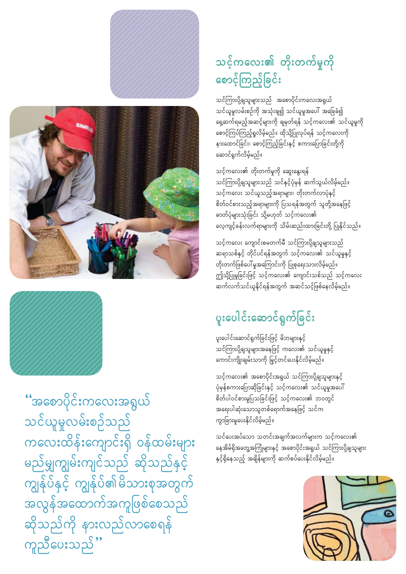#### သင့်ကလေး၏ တိုးတက်မှုကို စောင့်ကြည့်ခြင်း

သင်ကြားပို့ချသူများသည် အစောပိုင်းကလေးအရွယ် သင်ယူမှုလမ်းစဉ်ကို အသုံးချ၍ သင်ယူမှုအပေါ် အခြေခံ၍ ရေ့ဆက်ရမည့်အဆင့်များကို ချမှတ်ရန် သင့်ကလေး၏ သင်ယူမှုကို စောင့်ကြပ်ကြည့်ရှုလိမ့်မည်။ ထိုသို့ပြုလုပ်ရန် သင့်ကလေးကို နားထောင်ခြင်း၊ စောင့်ကြည့်ခြင်းနှင့် စကားပြောခြင်းတို့ကို ဆောင်ရွက်လိမ့်မည်။

သင့်ကလေး၏ တိုးတက်မှုကို ဆွေးနွေးရန် သင်ကြားပို့ချသူများသည် သင်နှင့်ပုံမှန် ဆက်သွယ်လိမ့်မည်။ သင့်ကလေး သင်ယူသည့်အရာများ၊ တိုးတက်လာပုံနှင့် စိတ်ဝင်စားသည့်အရာများကို ပြသရန်အတွက် သူတို့အနေဖြင့် လေ့ကျင့်ခန်းလက်ရာများကို သိမ်းဆည်းထားခြင်းတို့ ပြုနိုင်သည်။

သင်ကလေး ကျောင်းစမတက်မီ သင်ကြားပို့ချသူများသည် ဆရာသစ်နှင့် တိုင်ပင်ရန်အတွက် သင့်ကလေး၏ သင်ယူမှုနှင့် တိုးတက်ဖြစ်ပေါ် မူအကြောင်းကို ပြုစုရေးသားလိမ့်မည်။ ဤသို့ပြုမူခြင်းဖြင့် သင့်ကလေး၏ ကျောင်းသစ်သည် သင့်ကလေး ဆက်လက်သင်ယူနိုင်ရန်အတွက် အဆင်သင့်ဖြစ်နေလိမ့်မည်။

#### ပူးပေါင်းဆောင်ရွက်ခြင်း

ပူးပေါင်းဆောင်ရွက်ခြင်းဖြင့် မိဘများနှင့် သင်ကြားပို့ချသူများအနေဖြင့် ကလေး၏ သင်ယူမှုနှင့် ကောင်းကျိုးချမ်းသာကို မြှင့်တင်ပေးနိုင်လိမ့်မည်။

သင့်ကလေး၏ အစောပိုင်းအရှယ် သင်ကြားပို့ချသူများနှင့် .<br>ပုံမှန်စကားပြောဆိုခြင်းနှင့် သင့်ကလေး၏ သင်ယူမှုအပေါ် စိတ်ပါဝင်စားမှုပြသခြင်းဖြင့် သင့်ကလေး၏ ဘဝတွင် အရေးပါဆုံးသောသူတစ်ရောက်အနေဖြင့် သင်က ကွာခြားမှုပေးနိုင်လိမ့်မည်။

သင်ပေးအပ်သော သတင်းအချက်အလက်များက သင့်ကလေး၏ နေအိမ်ရှိအတွေ့အကြုံများနှင့် အစောပိုင်းအရှယ် သင်ကြားပို့ချသူများ ှ<br>နှင့်ရှိနေသည့် အချိန်များကို ဆက်စပ်ပေးနိုင်လိမ့်မည်။







''အစောပိုင်းကလေးအရွယ် သင်ယူမှုလမ်းစဉ်သည် ကလေးထိန်းကျောင်းရှိ ဝန်ထမ်းများ မည်မျှကျွမ်းကျင်သည် ဆိုသည်နှင့် ကျွန်ုပ်နှင့် ကျွန်ုပ်၏မိသားစုအတွက် အလွန်အထောက်အကူဖြစ်စေသည် ဆိုသည်ကို နားလည်လာစေရန် ကူညီပေးသည် ''